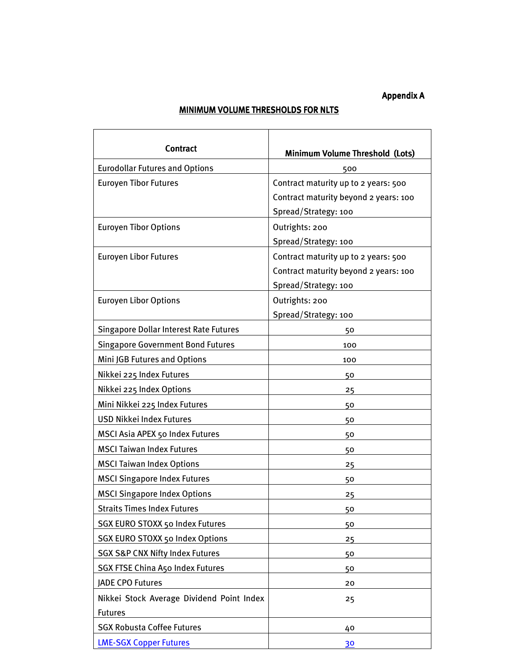## Appendix A

## MINIMUM VOLUME THRESHOLDS FOR NLTS  $\overline{\phantom{a}}$

T

 $\mathsf{r}$ 

| <b>Contract</b>                               | <b>Minimum Volume Threshold (Lots)</b> |
|-----------------------------------------------|----------------------------------------|
| <b>Eurodollar Futures and Options</b>         | 500                                    |
| <b>Euroyen Tibor Futures</b>                  | Contract maturity up to 2 years: 500   |
|                                               | Contract maturity beyond 2 years: 100  |
|                                               | Spread/Strategy: 100                   |
| <b>Euroyen Tibor Options</b>                  | Outrights: 200                         |
|                                               | Spread/Strategy: 100                   |
| <b>Euroyen Libor Futures</b>                  | Contract maturity up to 2 years: 500   |
|                                               | Contract maturity beyond 2 years: 100  |
|                                               | Spread/Strategy: 100                   |
| <b>Euroyen Libor Options</b>                  | Outrights: 200                         |
|                                               | Spread/Strategy: 100                   |
| <b>Singapore Dollar Interest Rate Futures</b> | 50                                     |
| <b>Singapore Government Bond Futures</b>      | 100                                    |
| Mini JGB Futures and Options                  | 100                                    |
| Nikkei 225 Index Futures                      | 50                                     |
| Nikkei 225 Index Options                      | 25                                     |
| Mini Nikkei 225 Index Futures                 | 50                                     |
| <b>USD Nikkei Index Futures</b>               | 50                                     |
| MSCI Asia APEX 50 Index Futures               | 50                                     |
| <b>MSCI Taiwan Index Futures</b>              | 50                                     |
| <b>MSCI Taiwan Index Options</b>              | 25                                     |
| <b>MSCI Singapore Index Futures</b>           | 50                                     |
| <b>MSCI Singapore Index Options</b>           | 25                                     |
| <b>Straits Times Index Futures</b>            | 50                                     |
| SGX EURO STOXX 50 Index Futures               | 50                                     |
| SGX EURO STOXX 50 Index Options               | 25                                     |
| <b>SGX S&amp;P CNX Nifty Index Futures</b>    | 50                                     |
| <b>SGX FTSE China A50 Index Futures</b>       | 50                                     |
| <b>JADE CPO Futures</b>                       | 20                                     |
| Nikkei Stock Average Dividend Point Index     | 25                                     |
| <b>Futures</b>                                |                                        |
| <b>SGX Robusta Coffee Futures</b>             | 40                                     |
| <b>LME-SGX Copper Futures</b>                 | 30                                     |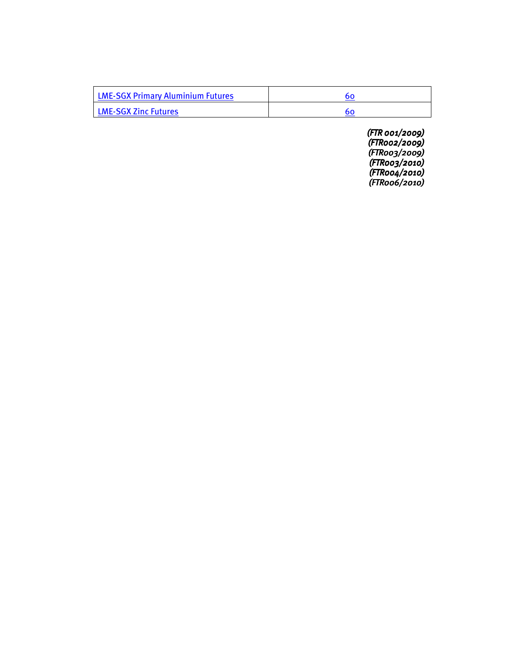| <b>LME-SGX Primary Aluminium Futures</b> |  |
|------------------------------------------|--|
| <b>LME-SGX Zinc Futures</b>              |  |

(FTR 001/2009) (FTR 001/2009) (FTR002/2009) (FTR003/2009) (FTR003/2010) (FTR003/2010) (FTR004/2010) (FTR004/2010) (FTR006/2010)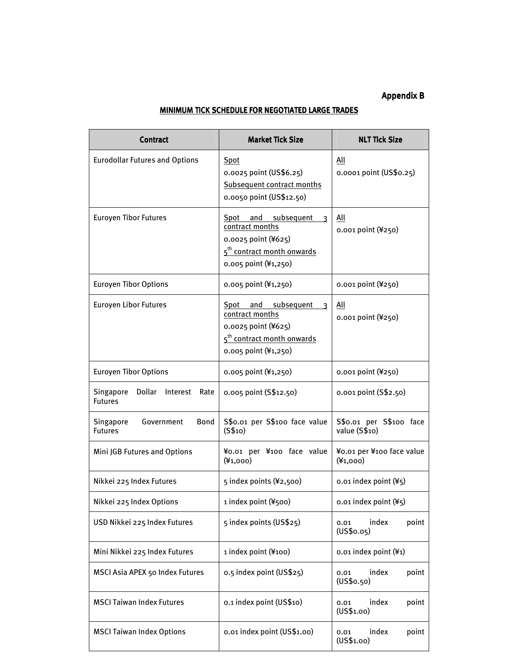## Appendix B

## MINIMUM TICK SCHEDULE FOR NEGOTIATED LARGE TRADES

| <b>Contract</b>                                           | <b>Market Tick Size</b>                                                                                                                                    | <b>NLT Tick Size</b>                     |
|-----------------------------------------------------------|------------------------------------------------------------------------------------------------------------------------------------------------------------|------------------------------------------|
| <b>Eurodollar Futures and Options</b>                     | Spot<br>0.0025 point (US\$6.25)<br>Subsequent contract months<br>0.0050 point (US\$12.50)                                                                  | All<br>0.0001 point (US\$0.25)           |
| <b>Euroyen Tibor Futures</b>                              | Spot and subsequent<br>$\overline{\mathbf{3}}$<br>contract months<br>0.0025 point (¥625)<br>5 <sup>th</sup> contract month onwards<br>0.005 point (¥1,250) | All<br>0.001 point (¥250)                |
| <b>Euroyen Tibor Options</b>                              | 0.005 point (¥1,250)                                                                                                                                       | 0.001 point (¥250)                       |
| <b>Euroyen Libor Futures</b>                              | Spot and subsequent<br>3<br>contract months<br>0.0025 point (¥625)<br>5 <sup>th</sup> contract month onwards<br>0.005 point (¥1,250)                       | All<br>0.001 point (¥250)                |
| <b>Euroyen Tibor Options</b>                              | 0.005 point (¥1,250)                                                                                                                                       | 0.001 point (¥250)                       |
| Singapore<br>Dollar<br>Interest<br>Rate<br><b>Futures</b> | 0.005 point (S\$12.50)                                                                                                                                     | 0.001 point (S\$2.50)                    |
| Government<br>Bond<br>Singapore<br><b>Futures</b>         | S\$0.01 per S\$100 face value<br>(S\$10)                                                                                                                   | S\$0.01 per S\$100 face<br>value (S\$10) |
| Mini JGB Futures and Options                              | ¥0.01 per ¥100 face value<br>$(*1,000)$                                                                                                                    | ¥0.01 per ¥100 face value<br>$(*1,000)$  |
| Nikkei 225 Index Futures                                  | 5 index points (¥2,500)                                                                                                                                    | $0.01$ index point $(45)$                |
| Nikkei 225 Index Options                                  | 1 index point (¥500)                                                                                                                                       | $0.01$ index point $(45)$                |
| USD Nikkei 225 Index Futures                              | 5 index points (US\$25)                                                                                                                                    | index<br>point<br>0.01<br>(US\$0.05)     |
| Mini Nikkei 225 Index Futures                             | 1 index point (¥100)                                                                                                                                       | 0.01 index point (¥1)                    |
| MSCI Asia APEX 50 Index Futures                           | 0.5 index point (US\$25)                                                                                                                                   | index<br>point<br>0.01<br>(US\$o.50)     |
| <b>MSCI Taiwan Index Futures</b>                          | 0.1 index point (US\$10)                                                                                                                                   | index<br>point<br>0.01<br>(US\$1.00)     |
| <b>MSCI Taiwan Index Options</b>                          | 0.01 index point (US\$1.00)                                                                                                                                | index<br>0.01<br>point<br>(US\$1.00)     |